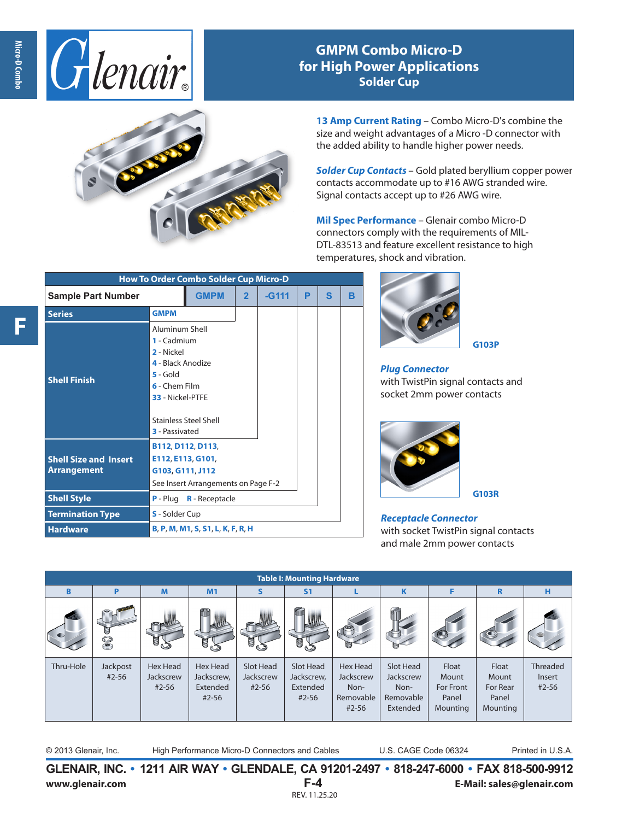

## **GMPM Combo Micro-D for High Power Applications Solder Cup**



**13 Amp Current Rating** – Combo Micro-D's combine the size and weight advantages of a Micro -D connector with the added ability to handle higher power needs.

*Solder Cup Contacts* – Gold plated beryllium copper power contacts accommodate up to #16 AWG stranded wire. Signal contacts accept up to #26 AWG wire.

**Mil Spec Performance** – Glenair combo Micro-D connectors comply with the requirements of MIL-DTL-83513 and feature excellent resistance to high temperatures, shock and vibration.

| <b>How To Order Combo Solder Cup Micro-D</b>                                                        |                                                                                                                                              |                              |         |   |   |   |  |  |  |  |
|-----------------------------------------------------------------------------------------------------|----------------------------------------------------------------------------------------------------------------------------------------------|------------------------------|---------|---|---|---|--|--|--|--|
| <b>Sample Part Number</b>                                                                           | <b>GMPM</b>                                                                                                                                  | $\overline{2}$               | $-G111$ | P | S | в |  |  |  |  |
| <b>Series</b>                                                                                       | <b>GMPM</b>                                                                                                                                  |                              |         |   |   |   |  |  |  |  |
| <b>Shell Finish</b>                                                                                 | Aluminum Shell<br>1 - Cadmium<br>2 - Nickel<br>4 - Black Anodize<br>$5 -$ Gold<br>6 - Chem Film<br>33 - Nickel-PTFE<br><b>3</b> - Passivated | <b>Stainless Steel Shell</b> |         |   |   |   |  |  |  |  |
| <b>Shell Size and Insert</b><br><b>Arrangement</b><br><b>Shell Style</b><br><b>Termination Type</b> | B112, D112, D113,<br>E112, E113, G101,<br>G103, G111, J112<br>See Insert Arrangements on Page F-2<br>$P - Pluq$                              |                              |         |   |   |   |  |  |  |  |
| <b>Hardware</b>                                                                                     | <b>S</b> - Solder Cup<br>B, P, M, M1, S, S1, L, K, F, R, H                                                                                   |                              |         |   |   |   |  |  |  |  |



*Plug Connector* with TwistPin signal contacts and socket 2mm power contacts

**G103P**



*Receptacle Connector* with socket TwistPin signal contacts and male 2mm power contacts

| <b>Table I: Mounting Hardware</b> |                       |                                    |                                                        |                                     |                                                  |                                                                |                                                         |                                                  |                                                 |                             |
|-----------------------------------|-----------------------|------------------------------------|--------------------------------------------------------|-------------------------------------|--------------------------------------------------|----------------------------------------------------------------|---------------------------------------------------------|--------------------------------------------------|-------------------------------------------------|-----------------------------|
| B                                 | P                     | M                                  | M1                                                     | S                                   | S <sub>1</sub>                                   |                                                                | Κ                                                       | F                                                | R                                               | н                           |
|                                   | U<br>S                | 9,<br>وسك                          | J.                                                     | JS                                  | u.                                               |                                                                |                                                         |                                                  |                                                 |                             |
| Thru-Hole                         | Jackpost<br>$#2 - 56$ | Hex Head<br>Jackscrew<br>$#2 - 56$ | <b>Hex Head</b><br>Jackscrew,<br>Extended<br>$#2 - 56$ | Slot Head<br>Jackscrew<br>$#2 - 56$ | Slot Head<br>Jackscrew,<br>Extended<br>$#2 - 56$ | <b>Hex Head</b><br>Jackscrew<br>Non-<br>Removable<br>$#2 - 56$ | Slot Head<br>Jackscrew<br>Non-<br>Removable<br>Extended | Float<br>Mount<br>For Front<br>Panel<br>Mounting | Float<br>Mount<br>For Rear<br>Panel<br>Mounting | Threaded<br>Insert<br>#2-56 |

© 2013 Glenair, Inc. High Performance Micro-D Connectors and Cables U.S. CAGE Code 06324 Printed in U.S.A.

**GLENAIR, INC. • 1211 AIR WAY • GLENDALE, CA 91201-2497 • 818-247-6000 • FAX 818-500-9912 www.glenair.com F-4 E-Mail: sales@glenair.com** REV. 11.25.20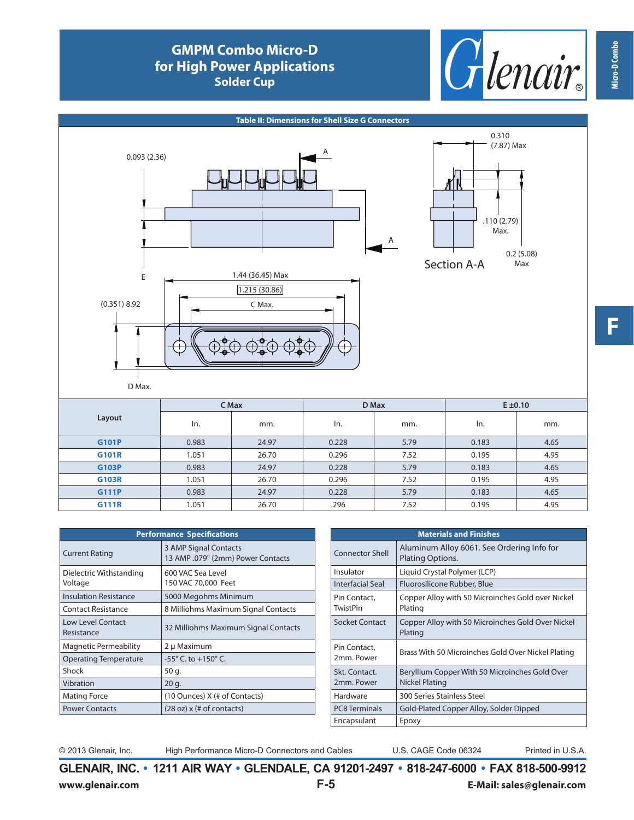## **GMPM Combo Micro-D for High Power Applications Solder Cup**





| <b>Performance Specifications</b>      |                                                            |  |  |  |  |  |  |
|----------------------------------------|------------------------------------------------------------|--|--|--|--|--|--|
| <b>Current Rating</b>                  | 3 AMP Signal Contacts<br>13 AMP .079" (2mm) Power Contacts |  |  |  |  |  |  |
| Dielectric Withstanding<br>Voltage     | 600 VAC Sea Level<br>150 VAC 70,000 Feet                   |  |  |  |  |  |  |
| <b>Insulation Resistance</b>           | 5000 Megohms Minimum                                       |  |  |  |  |  |  |
| <b>Contact Resistance</b>              | 8 Milliohms Maximum Signal Contacts                        |  |  |  |  |  |  |
| <b>Low Level Contact</b><br>Resistance | 32 Milliohms Maximum Signal Contacts                       |  |  |  |  |  |  |
| <b>Magnetic Permeability</b>           | 2 µ Maximum                                                |  |  |  |  |  |  |
| <b>Operating Temperature</b>           | $-55^{\circ}$ C, to $+150^{\circ}$ C.                      |  |  |  |  |  |  |
| Shock                                  | 50 g.                                                      |  |  |  |  |  |  |
| Vibration                              | 20 g.                                                      |  |  |  |  |  |  |
| <b>Mating Force</b>                    | (10 Ounces) X (# of Contacts)                              |  |  |  |  |  |  |
| <b>Power Contacts</b>                  | $(28 oz)$ x $(# of contacts)$                              |  |  |  |  |  |  |

| <b>Materials and Finishes</b>   |                                                                         |  |  |  |  |  |  |
|---------------------------------|-------------------------------------------------------------------------|--|--|--|--|--|--|
| <b>Connector Shell</b>          | Aluminum Alloy 6061. See Ordering Info for<br>Plating Options.          |  |  |  |  |  |  |
| Insulator                       | Liquid Crystal Polymer (LCP)                                            |  |  |  |  |  |  |
| Interfacial Seal                | Fluorosilicone Rubber, Blue                                             |  |  |  |  |  |  |
| Pin Contact,<br><b>TwistPin</b> | Copper Alloy with 50 Microinches Gold over Nickel<br>Plating            |  |  |  |  |  |  |
| Socket Contact                  | Copper Alloy with 50 Microinches Gold Over Nickel<br>Plating            |  |  |  |  |  |  |
| Pin Contact,<br>2mm. Power      | Brass With 50 Microinches Gold Over Nickel Plating                      |  |  |  |  |  |  |
| Skt. Contact.<br>2mm. Power     | Beryllium Copper With 50 Microinches Gold Over<br><b>Nickel Plating</b> |  |  |  |  |  |  |
| Hardware                        | 300 Series Stainless Steel                                              |  |  |  |  |  |  |
| <b>PCB</b> Terminals            | Gold-Plated Copper Alloy, Solder Dipped                                 |  |  |  |  |  |  |
| Encapsulant                     | Epoxy                                                                   |  |  |  |  |  |  |

© 2013 Glenair, Inc. High Performance Micro-D Connectors and Cables U.S. CAGE Code 06324 Printed in U.S.A.

**GLENAIR, INC. • 1211 AIR WAY • GLENDALE, CA 91201-2497 • 818-247-6000 • FAX 818-500-9912 www.glenair.com F-5 E-Mail: sales@glenair.com**